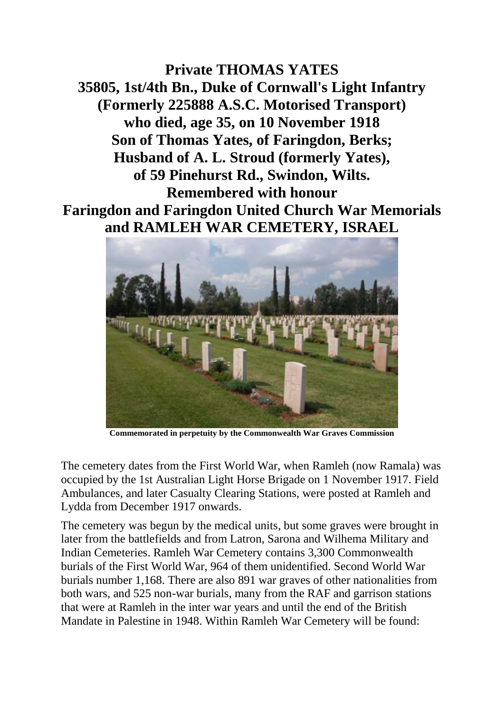**Private THOMAS YATES 35805, 1st/4th Bn., Duke of Cornwall's Light Infantry (Formerly 225888 A.S.C. Motorised Transport) who died, age 35, on 10 November 1918 Son of Thomas Yates, of Faringdon, Berks; Husband of A. L. Stroud (formerly Yates), of 59 Pinehurst Rd., Swindon, Wilts. Remembered with honour Faringdon and Faringdon United Church War Memorials and RAMLEH WAR CEMETERY, ISRAEL**



**Commemorated in perpetuity by the Commonwealth War Graves Commission** 

The cemetery dates from the First World War, when Ramleh (now Ramala) was occupied by the 1st Australian Light Horse Brigade on 1 November 1917. Field Ambulances, and later Casualty Clearing Stations, were posted at Ramleh and Lydda from December 1917 onwards.

The cemetery was begun by the medical units, but some graves were brought in later from the battlefields and from Latron, Sarona and Wilhema Military and Indian Cemeteries. Ramleh War Cemetery contains 3,300 Commonwealth burials of the First World War, 964 of them unidentified. Second World War burials number 1,168. There are also 891 war graves of other nationalities from both wars, and 525 non-war burials, many from the RAF and garrison stations that were at Ramleh in the inter war years and until the end of the British Mandate in Palestine in 1948. Within Ramleh War Cemetery will be found: